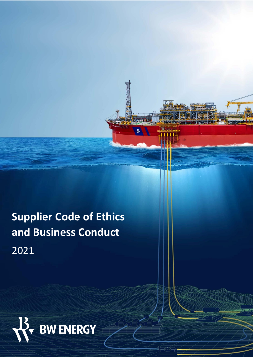**Supplier Code of Ethics and Business Conduct**  2021



 $\angle$  / / /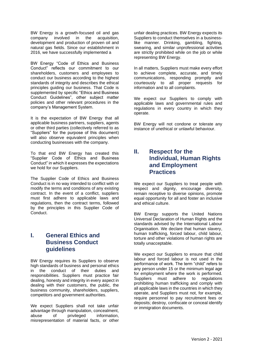BW Energy is a growth-focused oil and gas company involved in the acquisition, development and production of proven oil and natural gas fields. Since our establishment in 2016, we have successfully implemented a

BW Energy "Code of Ethics and Business Conduct" reflects our commitment to our shareholders, customers and employees to conduct our business according to the highest standards of integrity and describes the ethical principles guiding our business. That Code is supplemented by specific "Ethics and Business Conduct Guidelines", other subject matter policies and other relevant procedures in the company's Management System.

It is the expectation of BW Energy that all applicable business partners, suppliers, agents or other third parties (collectively referred to as "Suppliers" for the purpose of this document) will also observe equivalent principles when conducting businesses with the company.

To that end BW Energy has created this "Supplier Code of Ethics and Business Conduct" in which it expresses the expectations we hold for our Suppliers.

The Supplier Code of Ethics and Business Conduct is in no way intended to conflict with or modify the terms and conditions of any existing contract. In the event of a conflict, suppliers must first adhere to applicable laws and regulations, then the contract terms, followed by the principles in this Supplier Code of Conduct.

# **I. General Ethics and Business Conduct guidelines**

BW Energy requires its Suppliers to observe high standards of business and personal ethics in the conduct of their duties and responsibilities. Suppliers must practice fair dealing, honesty and integrity in every aspect in dealing with their customers, the public, the business community, shareholders, suppliers, competitors and government authorities.

We expect Suppliers shall not take unfair advantage through manipulation, concealment, abuse of privileged information. misrepresentation of material facts, or other

unfair dealing practices. BW Energy expects its Suppliers to conduct themselves in a businesslike manner. Drinking, gambling, fighting, swearing, and similar unprofessional activities are strictly prohibited while on the job or while representing BW Energy.

In all matters, Suppliers must make every effort to achieve complete, accurate, and timely communications, responding promptly and courteously to all proper requests for information and to all complaints.

We expect our Suppliers to comply with applicable laws and governmental rules and regulations in every country in which they operate.

BW Energy will not condone or tolerate any instance of unethical or unlawful behaviour.

### **II. Respect for the Individual, Human Rights and Employment Practices**

We expect our Suppliers to treat people with respect and dignity, encourage diversity, remain receptive to diverse opinions, promote equal opportunity for all and foster an inclusive and ethical culture.

BW Energy supports the United Nations Universal Declaration of Human Rights and the standards advised by the International Labour Organisation. We declare that human slavery, human trafficking, forced labour, child labour, torture and other violations of human rights are totally unacceptable.

We expect our Suppliers to ensure that child labour and forced labour is not used in the performance of work. The term "child" refers to any person under 15 or the minimum legal age for employment where the work is performed. Suppliers must adhere to regulations prohibiting human trafficking and comply with all applicable laws in the countries in which they operate, and Suppliers must not, for example, require personnel to pay recruitment fees or deposits; destroy, confiscate or conceal identify or immigration documents.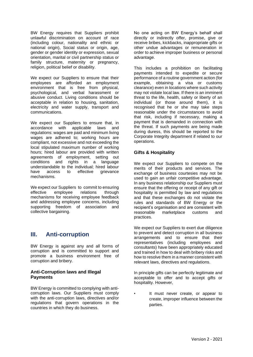BW Energy requires that Suppliers prohibit unlawful discrimination on account of race (including colour, nationality and ethnic or national origin), Social status or origin, age, gender or gender identity or expression, sexual orientation, marital or civil partnership status or family structure, maternity or pregnancy, religion, political belief or disability.

We expect our Suppliers to ensure that their employees are afforded an employment environment that is free from physical, psychological, and verbal harassment or abusive conduct. Living conditions should be acceptable in relation to housing, sanitation, electricity and water supply, transport and communications.

We expect our Suppliers to ensure that, in accordance with applicable laws and regulations: wages are paid and minimum living wages are adhered to; working hours are compliant, not excessive and not exceeding the local stipulated maximum number of working hours; hired labour are provided with written agreements of employment, setting out conditions and rights in a language understandable to the individual; hired labour have access to effective grievance mechanisms.

We expect our Suppliers to commit to ensuring effective employee relations through mechanisms for receiving employee feedback and addressing employee concerns, including supporting freedom of association and collective bargaining.

# **III. Anti-corruption**

BW Energy is against any and all forms of corruption and is committed to support and promote a business environment free of corruption and bribery.

#### **Anti-Corruption laws and Illegal Payments**

BW Energy is committed to complying with anticorruption laws. Our Suppliers must comply with the anti-corruption laws, directives and/or regulations that govern operations in the countries in which they do business.

No one acting on BW Energy's behalf shall directly or indirectly offer, promise, give or receive bribes, kickbacks, inappropriate gifts or other undue advantages or remuneration in order to achieve improper business or personal advantage.

This includes a prohibition on facilitating payments intended to expedite or secure performance of a routine government action (for example, obtaining a visa or customs clearance) even in locations where such activity may not violate local law. If there is an imminent threat to the life, health, safety or liberty of an individual (or those around them), it is recognised that he or she may take steps reasonable under the circumstances to avoid that risk, including if necessary, making a payment that is demanded in connection with the threat. If such payments are being made during duress, this should be reported to the Corporate Integrity department if related to our operations.

### **Gifts & Hospitality**

We expect our Suppliers to compete on the merits of their products and services. The exchange of business courtesies may not be used to gain an unfair competitive advantage. In any business relationship our Suppliers must ensure that the offering or receipt of any gift or hospitality is permitted by law and regulations and that these exchanges do not violate the rules and standards of BW Energy or the recipient's organisation and are consistent with reasonable marketplace customs and practices.

We expect our Suppliers to exert due diligence to prevent and detect corruption in all business arrangements and to ensure that their representatives (including employees and consultants) have been appropriately educated and trained in how to deal with bribery risks and how to resolve them in a manner consistent with relevant laws, directives and regulations.

In principle gifts can be perfectly legitimate and acceptable to offer and to accept gifts or hospitality. However,

It must never create, or appear to create, improper influence between the parties.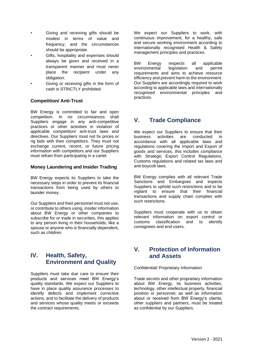- Giving and receiving gifts should be modest in terms of value and frequency, and the circumstances should be appropriate.
- Gifts, hospitality and expenses should always be given and received in a transparent manner and must never place the recipient under any obligation.
- Giving or receiving gifts in the form of cash is STRICTLY prohibited.

### **Competition/ Anti-Trust**

BW Energy is committed to fair and open competition. In no circumstances shall Suppliers engage in any anti-competitive practices or other activities in violation of applicable competition/ anti-trust laws and directives. Our Suppliers must not fix prices or rig bids with their competitors. They must not exchange current, recent, or future pricing information with competitors and our Suppliers must refrain from participating in a cartel.

#### **Money Laundering and Insider Trading**

BW Energy expects its Suppliers to take the necessary steps in order to prevent its financial transactions from being used by others to launder money.

Our Suppliers and their personnel must not use, or contribute to others using, insider information about BW Energy or other companies to subscribe for or trade in securities, this applies to any person living in their households, like a spouse or anyone who is financially dependent, such as children.

# **IV. Health, Safety, Environment and Quality**

Suppliers must take due care to ensure their products and services meet BW Energy's quality standards. We expect our Suppliers to have in place quality assurance processes to identify defects and implement corrective actions, and to facilitate the delivery of products and services whose quality meets or exceeds the contract requirements.

We expect our Suppliers to work, with continuous improvement, for a healthy, safe and secure working environment according to internationally recognised Health & Safety management principles and practices.

BW Energy respects all applicable environmental legislation and permit requirements and aims to achieve resource efficiency and prevent harm to the environment. Our Suppliers are accordingly required to work according to applicable laws and internationally recognised environmental principles and practices.

# **V. Trade Compliance**

We expect our Suppliers to ensure that their business activities are conducted in accordance with all applicable laws and regulations covering the Import and Export of goods and services, this includes compliance with Strategic Export Control Regulations, Customs regulations and related tax laws and anti-boycott laws.

BW Energy complies with all relevant Trade Sanctions and Embargoes and expects Suppliers to uphold such restrictions and to be vigilant to ensure that their financial transactions and supply chain complies with such restrictions.

Suppliers must cooperate with us to obtain relevant information on export control or customs classification and to identify consignees and end users.

# **V. Protection of Information and Assets**

Confidential/ Proprietary Information

Trade secrets and other proprietary information about BW Energy, its business activities, technology, other intellectual property, financial position or personnel, as well as information about or received from BW Energy's clients, other suppliers and partners, must be treated as confidential by our Suppliers.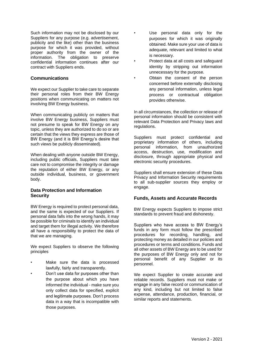Such information may not be disclosed by our Suppliers for any purpose (e.g. advertisement, publicity and the like) other than the business purpose for which it was provided, without proper authority from the owner of the information. The obligation to preserve confidential information continues after our contract with Suppliers ends.

#### **Communications**

We expect our Supplier to take care to separate their personal roles from their BW Energy positions when communicating on matters not involving BW Energy business.

When communicating publicly on matters that involve BW Energy business, Suppliers must not presume to speak for BW Energy on any topic, unless they are authorized to do so or are certain that the views they express are those of BW Energy (and it is BW Energy's desire that such views be publicly disseminated).

When dealing with anyone outside BW Energy, including public officials, Suppliers must take care not to compromise the integrity or damage the reputation of either BW Energy, or any outside individual, business, or government body.

#### **Data Protection and Information Security**

BW Energy is required to protect personal data, and the same is expected of our Suppliers. If personal data falls into the wrong hands, it may be possible for criminals to identify an individual and target them for illegal activity. We therefore all have a responsibility to protect the data of that we are managing.

We expect Suppliers to observe the following principles

- Make sure the data is processed lawfully, fairly and transparently.
- Don't use data for purposes other than the purpose about which you have informed the individual - make sure you only collect data for specified, explicit and legitimate purposes. Don't process data in a way that is incompatible with those purposes.
- Use personal data only for the purposes for which it was originally obtained. Make sure your use of data is adequate, relevant and limited to what is necessary.
- Protect data at all costs and safeguard identity by stripping out information unnecessary for the purpose.
- Obtain the consent of the person concerned before externally disclosing any personal information, unless legal process or contractual obligation provides otherwise.

In all circumstances, the collection or release of personal information should be consistent with relevant Data Protection and Privacy laws and regulations.

Suppliers must protect confidential and proprietary information of others, including personal information, from unauthorized access, destruction, use, modification and disclosure, through appropriate physical and electronic security procedures.

Suppliers shall ensure extension of these Data Privacy and Information Security requirements to all sub-supplier sources they employ or engage.

#### **Funds, Assets and Accurate Records**

BW Energy expects Suppliers to impose strict standards to prevent fraud and dishonesty.

Suppliers who have access to BW Energy's funds in any form must follow the prescribed procedures for recording, handling, and protecting money as detailed in our policies and procedures or terms and conditions. Funds and all other assets of BW Energy are to be used for the purposes of BW Energy only and not for personal benefit of any Supplier or its personnel.

We expect Supplier to create accurate and reliable records. Suppliers must not make or engage in any false record or communication of any kind, including but not limited to false expense, attendance, production, financial, or similar reports and statements.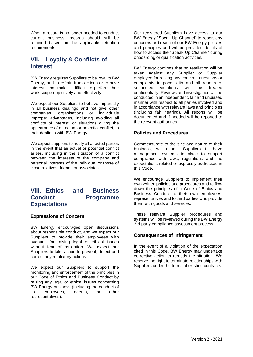When a record is no longer needed to conduct current business, records should still be retained based on the applicable retention requirements.

# **VII. Loyalty & Conflicts of Interest**

BW Energy requires Suppliers to be loyal to BW Energy, and to refrain from actions or to have interests that make it difficult to perform their work scope objectively and effectively.

We expect our Suppliers to behave impartially in all business dealings and not give other companies, organisations or individuals improper advantages, including avoiding all conflicts of interest, or situations giving the appearance of an actual or potential conflict, in their dealings with BW Energy.

We expect suppliers to notify all affected parties in the event that an actual or potential conflict arises, including in the situation of a conflict between the interests of the company and personal interests of the individual or those of close relatives, friends or associates.

# **VIII. Ethics and Business Conduct Programme Expectations**

#### **Expressions of Concern**

BW Energy encourages open discussions about responsible conduct, and we expect our Suppliers to provide their employees with avenues for raising legal or ethical issues without fear of retaliation. We expect our Suppliers to take action to prevent, detect and correct any retaliatory actions.

We expect our Suppliers to support the monitoring and enforcement of the principles in our Code of Ethics and Business Conduct by raising any legal or ethical issues concerning BW Energy business (including the conduct of its employees, agents, or other representatives).

Our registered Suppliers have access to our BW Energy "Speak Up Channel" to report any concerns or breach of our BW Energy policies and principles and will be provided details of how to access the "Speak Up Channel" during onboarding or qualification activities.

BW Energy confirms that no retaliation will be taken against any Supplier or Supplier employee for raising any concern, questions or complaints in good faith and all reports of suspected violations will be treated confidentially. Reviews and investigation will be conducted in an independent, fair and unbiased manner with respect to all parties involved and in accordance with relevant laws and principles (including fair hearing). All reports will be documented and if needed will be reported to the relevant authorities.

#### **Policies and Procedures**

Commensurate to the size and nature of their business, we expect Suppliers to have management systems in place to support compliance with laws, regulations and the expectations related or expressly addressed in this Code.

We encourage Suppliers to implement their own written policies and procedures and to flow down the principles of a Code of Ethics and Business Conduct to their own employees, representatives and to third parties who provide them with goods and services.

These relevant Supplier procedures and systems will be reviewed during the BW Energy 3rd party compliance assessment process.

### **Consequences of infringement**

In the event of a violation of the expectation cited in this Code, BW Energy may undertake corrective action to remedy the situation. We reserve the right to terminate relationships with Suppliers under the terms of existing contracts.